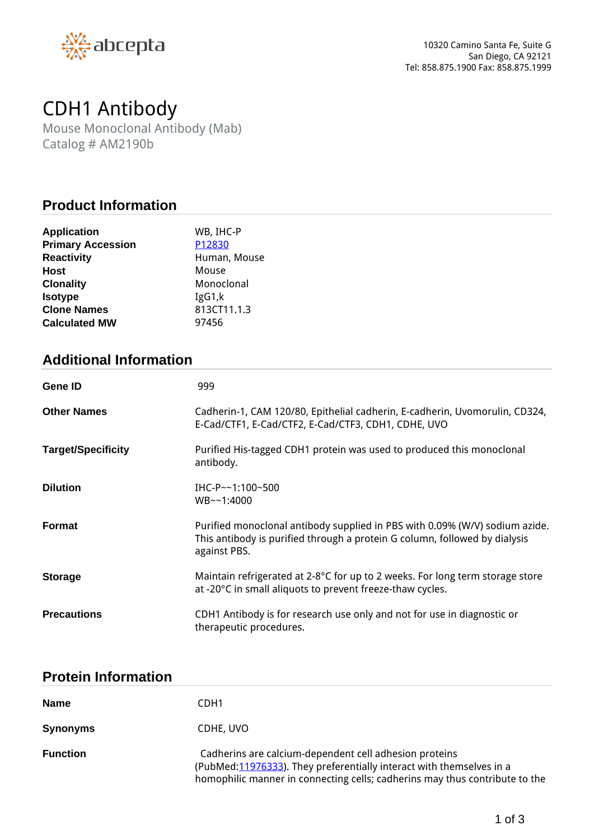

# *CDH1 Antibody*

*Mouse Monoclonal Antibody (Mab) Catalog # AM2190b*

#### **Product Information**

| <b>Application</b>       | WB, IHC-P    |
|--------------------------|--------------|
| <b>Primary Accession</b> | P12830       |
| <b>Reactivity</b>        | Human, Mouse |
| <b>Host</b>              | Mouse        |
| <b>Clonality</b>         | Monoclonal   |
| <b>Isotype</b>           | IgG1,k       |
| <b>Clone Names</b>       | 813CT11.1.3  |
| <b>Calculated MW</b>     | 97456        |

# **Additional Information**

| <b>Gene ID</b>            | 999                                                                                                                                                                       |
|---------------------------|---------------------------------------------------------------------------------------------------------------------------------------------------------------------------|
| <b>Other Names</b>        | Cadherin-1, CAM 120/80, Epithelial cadherin, E-cadherin, Uvomorulin, CD324,<br>E-Cad/CTF1, E-Cad/CTF2, E-Cad/CTF3, CDH1, CDHE, UVO                                        |
| <b>Target/Specificity</b> | Purified His-tagged CDH1 protein was used to produced this monoclonal<br>antibody.                                                                                        |
| <b>Dilution</b>           | IHC-P $\sim$ 1:100~500<br>$WB - -1:4000$                                                                                                                                  |
| <b>Format</b>             | Purified monoclonal antibody supplied in PBS with 0.09% (W/V) sodium azide.<br>This antibody is purified through a protein G column, followed by dialysis<br>against PBS. |
| <b>Storage</b>            | Maintain refrigerated at 2-8°C for up to 2 weeks. For long term storage store<br>at -20°C in small aliquots to prevent freeze-thaw cycles.                                |
| <b>Precautions</b>        | CDH1 Antibody is for research use only and not for use in diagnostic or<br>therapeutic procedures.                                                                        |

# **Protein Information**

| <b>Name</b>     | CDH1                                                                                                                                                                                                           |
|-----------------|----------------------------------------------------------------------------------------------------------------------------------------------------------------------------------------------------------------|
| <b>Synonyms</b> | CDHE, UVO                                                                                                                                                                                                      |
| <b>Function</b> | Cadherins are calcium-dependent cell adhesion proteins<br>(PubMed: 11976333). They preferentially interact with themselves in a<br>homophilic manner in connecting cells; cadherins may thus contribute to the |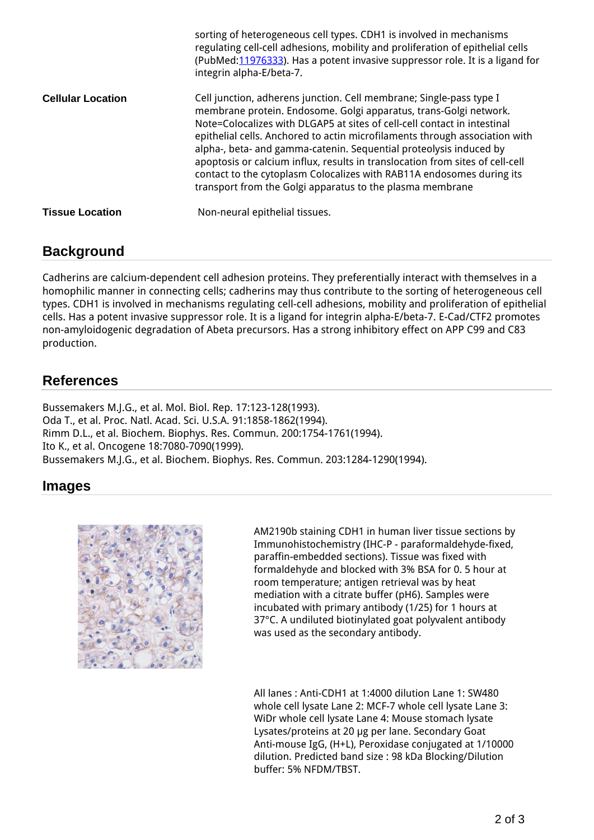|                          | sorting of heterogeneous cell types. CDH1 is involved in mechanisms<br>regulating cell-cell adhesions, mobility and proliferation of epithelial cells<br>(PubMed: 11976333). Has a potent invasive suppressor role. It is a ligand for<br>integrin alpha-E/beta-7.                                                                                                                                                                                                                                                                                                                               |
|--------------------------|--------------------------------------------------------------------------------------------------------------------------------------------------------------------------------------------------------------------------------------------------------------------------------------------------------------------------------------------------------------------------------------------------------------------------------------------------------------------------------------------------------------------------------------------------------------------------------------------------|
| <b>Cellular Location</b> | Cell junction, adherens junction. Cell membrane; Single-pass type I<br>membrane protein. Endosome. Golgi apparatus, trans-Golgi network.<br>Note=Colocalizes with DLGAP5 at sites of cell-cell contact in intestinal<br>epithelial cells. Anchored to actin microfilaments through association with<br>alpha-, beta- and gamma-catenin. Sequential proteolysis induced by<br>apoptosis or calcium influx, results in translocation from sites of cell-cell<br>contact to the cytoplasm Colocalizes with RAB11A endosomes during its<br>transport from the Golgi apparatus to the plasma membrane |
| <b>Tissue Location</b>   | Non-neural epithelial tissues.                                                                                                                                                                                                                                                                                                                                                                                                                                                                                                                                                                   |

#### **Background**

*Cadherins are calcium-dependent cell adhesion proteins. They preferentially interact with themselves in a homophilic manner in connecting cells; cadherins may thus contribute to the sorting of heterogeneous cell types. CDH1 is involved in mechanisms regulating cell-cell adhesions, mobility and proliferation of epithelial cells. Has a potent invasive suppressor role. It is a ligand for integrin alpha-E/beta-7. E-Cad/CTF2 promotes non-amyloidogenic degradation of Abeta precursors. Has a strong inhibitory effect on APP C99 and C83 production.*

### **References**

*Bussemakers M.J.G., et al. Mol. Biol. Rep. 17:123-128(1993). Oda T., et al. Proc. Natl. Acad. Sci. U.S.A. 91:1858-1862(1994). Rimm D.L., et al. Biochem. Biophys. Res. Commun. 200:1754-1761(1994). Ito K., et al. Oncogene 18:7080-7090(1999). Bussemakers M.J.G., et al. Biochem. Biophys. Res. Commun. 203:1284-1290(1994).*

#### **Images**



*AM2190b staining CDH1 in human liver tissue sections by Immunohistochemistry (IHC-P - paraformaldehyde-fixed, paraffin-embedded sections). Tissue was fixed with formaldehyde and blocked with 3% BSA for 0. 5 hour at room temperature; antigen retrieval was by heat mediation with a citrate buffer (pH6). Samples were incubated with primary antibody (1/25) for 1 hours at 37°C. A undiluted biotinylated goat polyvalent antibody was used as the secondary antibody.*

*All lanes : Anti-CDH1 at 1:4000 dilution Lane 1: SW480 whole cell lysate Lane 2: MCF-7 whole cell lysate Lane 3: WiDr whole cell lysate Lane 4: Mouse stomach lysate Lysates/proteins at 20 μg per lane. Secondary Goat Anti-mouse IgG, (H+L), Peroxidase conjugated at 1/10000 dilution. Predicted band size : 98 kDa Blocking/Dilution buffer: 5% NFDM/TBST.*